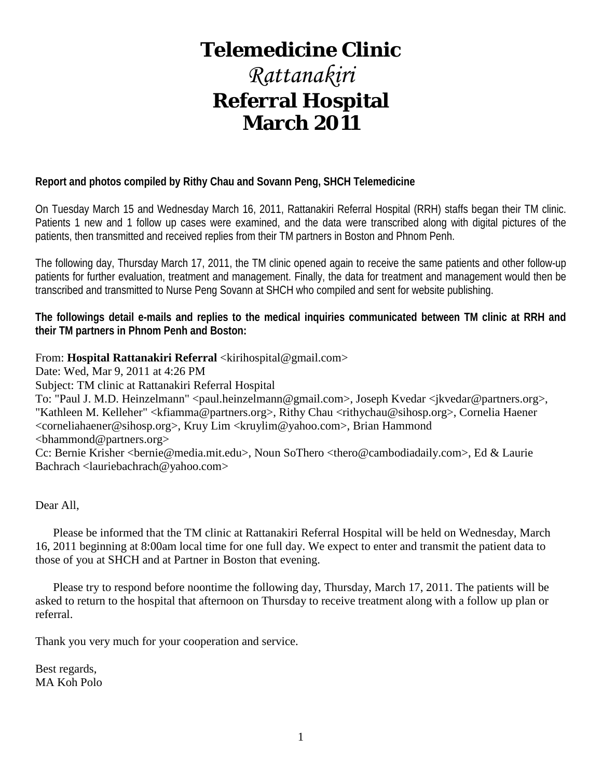# **Telemedicine Clinic**

# *Rattanakiri* **Referral Hospital March 2011**

# **Report and photos compiled by Rithy Chau and Sovann Peng, SHCH Telemedicine**

On Tuesday March 15 and Wednesday March 16, 2011, Rattanakiri Referral Hospital (RRH) staffs began their TM clinic. Patients 1 new and 1 follow up cases were examined, and the data were transcribed along with digital pictures of the patients, then transmitted and received replies from their TM partners in Boston and Phnom Penh.

The following day, Thursday March 17, 2011, the TM clinic opened again to receive the same patients and other follow-up patients for further evaluation, treatment and management. Finally, the data for treatment and management would then be transcribed and transmitted to Nurse Peng Sovann at SHCH who compiled and sent for website publishing.

**The followings detail e-mails and replies to the medical inquiries communicated between TM clinic at RRH and their TM partners in Phnom Penh and Boston:**

From: **Hospital Rattanakiri Referral** <kirihospital@gmail.com>

Date: Wed, Mar 9, 2011 at 4:26 PM

Subject: TM clinic at Rattanakiri Referral Hospital

To: "Paul J. M.D. Heinzelmann" <paul.heinzelmann@gmail.com>, Joseph Kvedar <jkvedar@partners.org>, "Kathleen M. Kelleher" <kfiamma@partners.org>, Rithy Chau <rithychau@sihosp.org>, Cornelia Haener <corneliahaener@sihosp.org>, Kruy Lim <kruylim@yahoo.com>, Brian Hammond <bhammond@partners.org>

Cc: Bernie Krisher <bernie@media.mit.edu>, Noun SoThero <thero@cambodiadaily.com>, Ed & Laurie Bachrach <lauriebachrach@yahoo.com>

Dear All,

 Please be informed that the TM clinic at Rattanakiri Referral Hospital will be held on Wednesday, March 16, 2011 beginning at 8:00am local time for one full day. We expect to enter and transmit the patient data to those of you at SHCH and at Partner in Boston that evening.

 Please try to respond before noontime the following day, Thursday, March 17, 2011. The patients will be asked to return to the hospital that afternoon on Thursday to receive treatment along with a follow up plan or referral.

Thank you very much for your cooperation and service.

Best regards, MA Koh Polo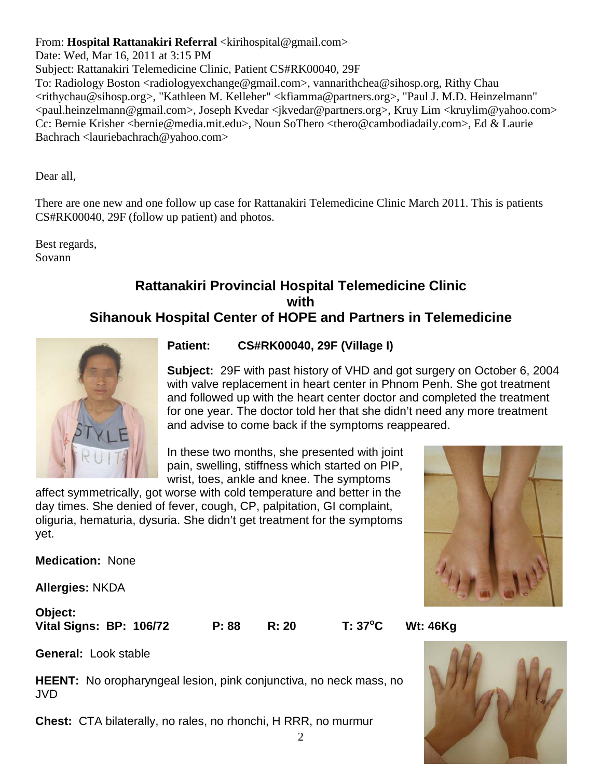# From: **Hospital Rattanakiri Referral** <kirihospital@gmail.com>

Date: Wed, Mar 16, 2011 at 3:15 PM

Subject: Rattanakiri Telemedicine Clinic, Patient CS#RK00040, 29F

To: Radiology Boston <radiologyexchange@gmail.com>, vannarithchea@sihosp.org, Rithy Chau <rithychau@sihosp.org>, "Kathleen M. Kelleher" <kfiamma@partners.org>, "Paul J. M.D. Heinzelmann" <paul.heinzelmann@gmail.com>, Joseph Kvedar <jkvedar@partners.org>, Kruy Lim <kruylim@yahoo.com> Cc: Bernie Krisher <bernie@media.mit.edu>, Noun SoThero <thero@cambodiadaily.com>, Ed & Laurie Bachrach <lauriebachrach@yahoo.com>

Dear all,

There are one new and one follow up case for Rattanakiri Telemedicine Clinic March 2011. This is patients CS#RK00040, 29F (follow up patient) and photos.

Best regards, Sovann

# **Rattanakiri Provincial Hospital Telemedicine Clinic with Sihanouk Hospital Center of HOPE and Partners in Telemedicine**



**Patient: CS#RK00040, 29F (Village I)**

**Subject:** 29F with past history of VHD and got surgery on October 6, 2004 with valve replacement in heart center in Phnom Penh. She got treatment and followed up with the heart center doctor and completed the treatment for one year. The doctor told her that she didn't need any more treatment and advise to come back if the symptoms reappeared.

In these two months, she presented with joint pain, swelling, stiffness which started on PIP, wrist, toes, ankle and knee. The symptoms

affect symmetrically, got worse with cold temperature and better in the day times. She denied of fever, cough, CP, palpitation, GI complaint, oliguria, hematuria, dysuria. She didn't get treatment for the symptoms yet.

**Medication:** None

**Allergies:** NKDA

**Object: Vital Signs: BP: 106/72 P: 88 R: 20 T: 37<sup>o</sup>**

**C Wt: 46Kg**

**General:** Look stable

**HEENT:** No oropharyngeal lesion, pink conjunctiva, no neck mass, no JVD

**Chest:** CTA bilaterally, no rales, no rhonchi, H RRR, no murmur



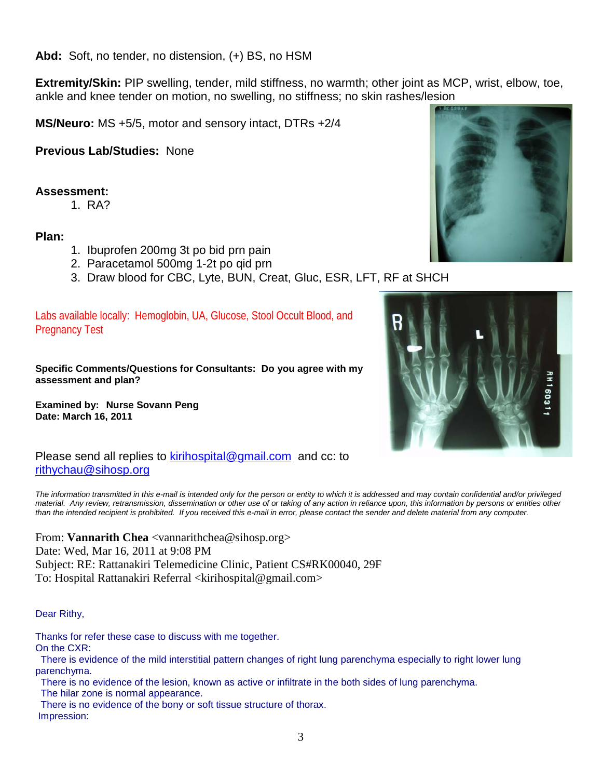**Abd:** Soft, no tender, no distension, (+) BS, no HSM

**Extremity/Skin:** PIP swelling, tender, mild stiffness, no warmth; other joint as MCP, wrist, elbow, toe, ankle and knee tender on motion, no swelling, no stiffness; no skin rashes/lesion

**MS/Neuro:** MS +5/5, motor and sensory intact, DTRs +2/4

**Previous Lab/Studies:** None

## **Assessment:**

1. RA?

## **Plan:**

- 1. Ibuprofen 200mg 3t po bid prn pain
- 2. Paracetamol 500mg 1-2t po qid prn
- 3. Draw blood for CBC, Lyte, BUN, Creat, Gluc, ESR, LFT, RF at SHCH

Labs available locally: Hemoglobin, UA, Glucose, Stool Occult Blood, and Pregnancy Test

**Specific Comments/Questions for Consultants: Do you agree with my assessment and plan?**

**Examined by: Nurse Sovann Peng Date: March 16, 2011** 



Please send all replies to [kirihospital@gmail.com](mailto:kirihospital@gmail.com) and cc: to [rithychau@sihosp.org](mailto:rithychau@sihosp.org)

*The information transmitted in this e-mail is intended only for the person or entity to which it is addressed and may contain confidential and/or privileged material. Any review, retransmission, dissemination or other use of or taking of any action in reliance upon, this information by persons or entities other than the intended recipient is prohibited. If you received this e-mail in error, please contact the sender and delete material from any computer.*

From: **Vannarith Chea** <vannarithchea@sihosp.org> Date: Wed, Mar 16, 2011 at 9:08 PM Subject: RE: Rattanakiri Telemedicine Clinic, Patient CS#RK00040, 29F To: Hospital Rattanakiri Referral <kirihospital@gmail.com>

#### Dear Rithy,

Thanks for refer these case to discuss with me together.

On the CXR:

There is evidence of the mild interstitial pattern changes of right lung parenchyma especially to right lower lung parenchyma.

There is no evidence of the lesion, known as active or infiltrate in the both sides of lung parenchyma.

The hilar zone is normal appearance.

There is no evidence of the bony or soft tissue structure of thorax. Impression:

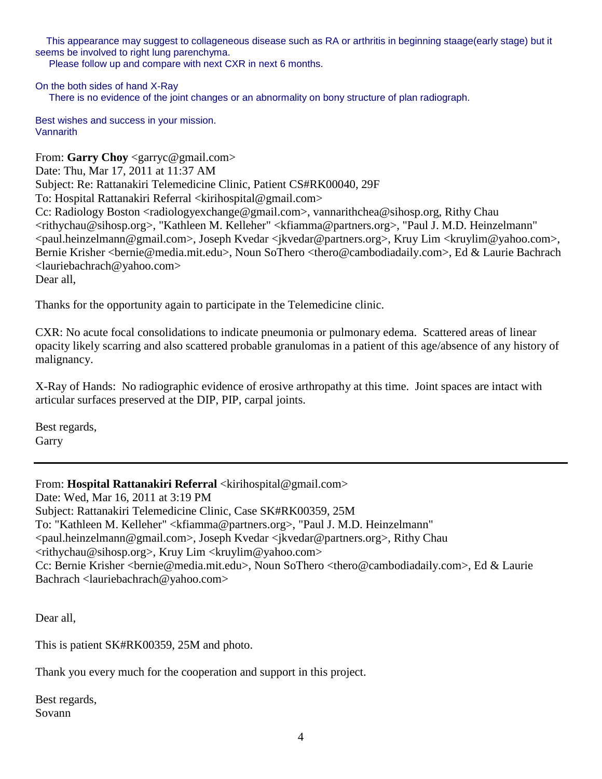This appearance may suggest to collageneous disease such as RA or arthritis in beginning staage(early stage) but it seems be involved to right lung parenchyma.

Please follow up and compare with next CXR in next 6 months.

On the both sides of hand X-Ray There is no evidence of the joint changes or an abnormality on bony structure of plan radiograph.

Best wishes and success in your mission. **Vannarith** 

From: **Garry Choy** <garryc@gmail.com> Date: Thu, Mar 17, 2011 at 11:37 AM Subject: Re: Rattanakiri Telemedicine Clinic, Patient CS#RK00040, 29F To: Hospital Rattanakiri Referral <kirihospital@gmail.com> Cc: Radiology Boston <radiologyexchange@gmail.com>, vannarithchea@sihosp.org, Rithy Chau <rithychau@sihosp.org>, "Kathleen M. Kelleher" <kfiamma@partners.org>, "Paul J. M.D. Heinzelmann" <paul.heinzelmann@gmail.com>, Joseph Kvedar <jkvedar@partners.org>, Kruy Lim <kruylim@yahoo.com>, Bernie Krisher <bernie@media.mit.edu>, Noun SoThero <thero@cambodiadaily.com>, Ed & Laurie Bachrach <lauriebachrach@yahoo.com> Dear all,

Thanks for the opportunity again to participate in the Telemedicine clinic.

CXR: No acute focal consolidations to indicate pneumonia or pulmonary edema. Scattered areas of linear opacity likely scarring and also scattered probable granulomas in a patient of this age/absence of any history of malignancy.

X-Ray of Hands: No radiographic evidence of erosive arthropathy at this time. Joint spaces are intact with articular surfaces preserved at the DIP, PIP, carpal joints.

Best regards, Garry

From: **Hospital Rattanakiri Referral** <kirihospital@gmail.com> Date: Wed, Mar 16, 2011 at 3:19 PM Subject: Rattanakiri Telemedicine Clinic, Case SK#RK00359, 25M To: "Kathleen M. Kelleher" <kfiamma@partners.org>, "Paul J. M.D. Heinzelmann" <paul.heinzelmann@gmail.com>, Joseph Kvedar <jkvedar@partners.org>, Rithy Chau <rithychau@sihosp.org>, Kruy Lim <kruylim@yahoo.com> Cc: Bernie Krisher <bernie@media.mit.edu>, Noun SoThero <thero@cambodiadaily.com>, Ed & Laurie Bachrach <lauriebachrach@yahoo.com>

Dear all,

This is patient SK#RK00359, 25M and photo.

Thank you every much for the cooperation and support in this project.

Best regards, Sovann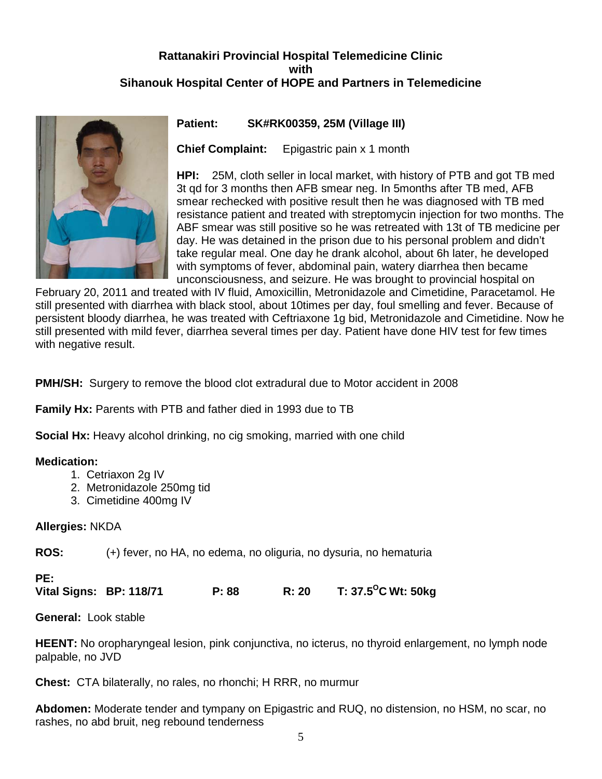# **Rattanakiri Provincial Hospital Telemedicine Clinic with Sihanouk Hospital Center of HOPE and Partners in Telemedicine**



#### **Patient: SK#RK00359, 25M (Village III)**

**Chief Complaint:** Epigastric pain x 1 month

**HPI:** 25M, cloth seller in local market, with history of PTB and got TB med 3t qd for 3 months then AFB smear neg. In 5months after TB med, AFB smear rechecked with positive result then he was diagnosed with TB med resistance patient and treated with streptomycin injection for two months. The ABF smear was still positive so he was retreated with 13t of TB medicine per day. He was detained in the prison due to his personal problem and didn't take regular meal. One day he drank alcohol, about 6h later, he developed with symptoms of fever, abdominal pain, watery diarrhea then became unconsciousness, and seizure. He was brought to provincial hospital on

February 20, 2011 and treated with IV fluid, Amoxicillin, Metronidazole and Cimetidine, Paracetamol. He still presented with diarrhea with black stool, about 10times per day, foul smelling and fever. Because of persistent bloody diarrhea, he was treated with Ceftriaxone 1g bid, Metronidazole and Cimetidine. Now he still presented with mild fever, diarrhea several times per day. Patient have done HIV test for few times with negative result.

**PMH/SH:** Surgery to remove the blood clot extradural due to Motor accident in 2008

**Family Hx:** Parents with PTB and father died in 1993 due to TB

**Social Hx:** Heavy alcohol drinking, no cig smoking, married with one child

#### **Medication:**

- 1. Cetriaxon 2g IV
- 2. Metronidazole 250mg tid
- 3. Cimetidine 400mg IV

#### **Allergies:** NKDA

**ROS:** (+) fever, no HA, no edema, no oliguria, no dysuria, no hematuria

#### **PE:**

**Vital Signs: BP: 118/71 P: 88 R: 20 T: 37.5OC Wt: 50kg**

**General:** Look stable

**HEENT:** No oropharyngeal lesion, pink conjunctiva, no icterus, no thyroid enlargement, no lymph node palpable, no JVD

**Chest:** CTA bilaterally, no rales, no rhonchi; H RRR, no murmur

**Abdomen:** Moderate tender and tympany on Epigastric and RUQ, no distension, no HSM, no scar, no rashes, no abd bruit, neg rebound tenderness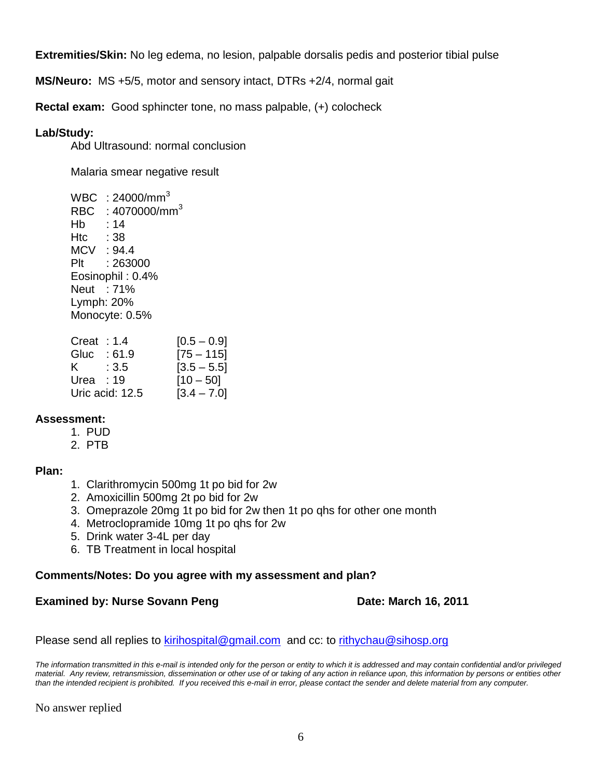**Extremities/Skin:** No leg edema, no lesion, palpable dorsalis pedis and posterior tibial pulse

**MS/Neuro:** MS +5/5, motor and sensory intact, DTRs +2/4, normal gait

**Rectal exam:** Good sphincter tone, no mass palpable, (+) colocheck

#### **Lab/Study:**

Abd Ultrasound: normal conclusion

Malaria smear negative result

 $WBC : 24000/mm<sup>3</sup>$ RBC : 4070000/mm<sup>3</sup> Hb : 14 Htc : 38 MCV : 94.4 Plt : 263000 Eosinophil : 0.4% Neut : 71% Lymph: 20% Monocyte: 0.5%

| Creat | :1.4            | $[0.5 - 0.9]$ |
|-------|-----------------|---------------|
| Gluc  | : 61.9          | $[75 - 115]$  |
| K.    | :3.5            | $[3.5 - 5.5]$ |
| Urea  | : 19            | $[10 - 50]$   |
|       | Uric acid: 12.5 | $[3.4 - 7.0]$ |

## **Assessment:**

- 1. PUD
- 2. PTB

#### **Plan:**

- 1. Clarithromycin 500mg 1t po bid for 2w
- 2. Amoxicillin 500mg 2t po bid for 2w
- 3. Omeprazole 20mg 1t po bid for 2w then 1t po qhs for other one month
- 4. Metroclopramide 10mg 1t po qhs for 2w
- 5. Drink water 3-4L per day
- 6. TB Treatment in local hospital

#### **Comments/Notes: Do you agree with my assessment and plan?**

#### **Examined by: Nurse Sovann Peng Date: March 16, 2011**

Please send all replies to [kirihospital@gmail.com](mailto:kirihospital@gmail.com) and cc: to [rithychau@sihosp.org](mailto:rithychau@sihosp.org)

*The information transmitted in this e-mail is intended only for the person or entity to which it is addressed and may contain confidential and/or privileged material. Any review, retransmission, dissemination or other use of or taking of any action in reliance upon, this information by persons or entities other than the intended recipient is prohibited. If you received this e-mail in error, please contact the sender and delete material from any computer.*

No answer replied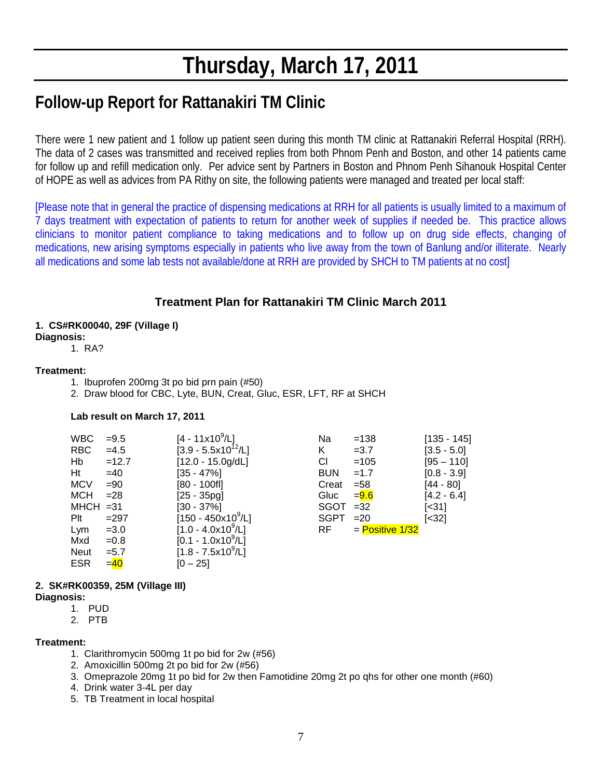# **Thursday, March 17, 2011**

# **Follow-up Report for Rattanakiri TM Clinic**

There were 1 new patient and 1 follow up patient seen during this month TM clinic at Rattanakiri Referral Hospital (RRH). The data of 2 cases was transmitted and received replies from both Phnom Penh and Boston, and other 14 patients came for follow up and refill medication only. Per advice sent by Partners in Boston and Phnom Penh Sihanouk Hospital Center of HOPE as well as advices from PA Rithy on site, the following patients were managed and treated per local staff:

[Please note that in general the practice of dispensing medications at RRH for all patients is usually limited to a maximum of 7 days treatment with expectation of patients to return for another week of supplies if needed be. This practice allows clinicians to monitor patient compliance to taking medications and to follow up on drug side effects, changing of medications, new arising symptoms especially in patients who live away from the town of Banlung and/or illiterate. Nearly all medications and some lab tests not available/done at RRH are provided by SHCH to TM patients at no cost]

# **Treatment Plan for Rattanakiri TM Clinic March 2011**

#### **1. CS#RK00040, 29F (Village I)**

#### **Diagnosis:**

#### 1. RA?

#### **Treatment:**

- 1. Ibuprofen 200mg 3t po bid prn pain (#50)
- 2. Draw blood for CBC, Lyte, BUN, Creat, Gluc, ESR, LFT, RF at SHCH

#### **Lab result on March 17, 2011**

| <b>WBC</b>  | $= 9.5$  | $[4 - 11x10^9/L]$                  | Na          | $=138$            | $[135 - 145]$ |
|-------------|----------|------------------------------------|-------------|-------------------|---------------|
|             |          |                                    |             |                   |               |
| <b>RBC</b>  | $=4.5$   | $[3.9 - 5.5x10^{12}/L]$            | K.          | $=3.7$            | $[3.5 - 5.0]$ |
| Hb          | $=12.7$  | $[12.0 - 15.0g/dL]$                | CI.         | $=105$            | $[95 - 110]$  |
| Ht          | $=40$    | $[35 - 47\%]$                      | <b>BUN</b>  | $=1.7$            | $[0.8 - 3.9]$ |
| <b>MCV</b>  | $= 90$   | $[80 - 100f]$                      | Creat       | $= 58$            | [44 - 80]     |
| MCH         | $= 28$   | $[25 - 35pq]$                      | Gluc        | $= 9.6$           | $[4.2 - 6.4]$ |
| $MHCH = 31$ |          | $[30 - 37\%]$                      | $SGOT = 32$ |                   | [<31]         |
| Plt         | $=297$   | $[150 - 450 \times 10^9/\text{L}]$ | SGPT        | $=20$             | $[<32]$       |
| Lym         | $= 3.0$  | $[1.0 - 4.0x10^9/L]$               | RF -        | $=$ Positive 1/32 |               |
| Mxd         | $=0.8$   | $[0.1 - 1.0x10^9/L]$               |             |                   |               |
| Neut        | $= 5.7$  | $[1.8 - 7.5x10^9/L]$               |             |                   |               |
| ESR         | $=$ $40$ | $[0 - 25]$                         |             |                   |               |

#### **2. SK#RK00359, 25M (Village III)**

#### **Diagnosis:**

- 1. PUD
- 2. PTB

#### **Treatment:**

- 1. Clarithromycin 500mg 1t po bid for 2w (#56)
- 2. Amoxicillin 500mg 2t po bid for 2w (#56)
- 3. Omeprazole 20mg 1t po bid for 2w then Famotidine 20mg 2t po qhs for other one month (#60)
- 4. Drink water 3-4L per day
- 5. TB Treatment in local hospital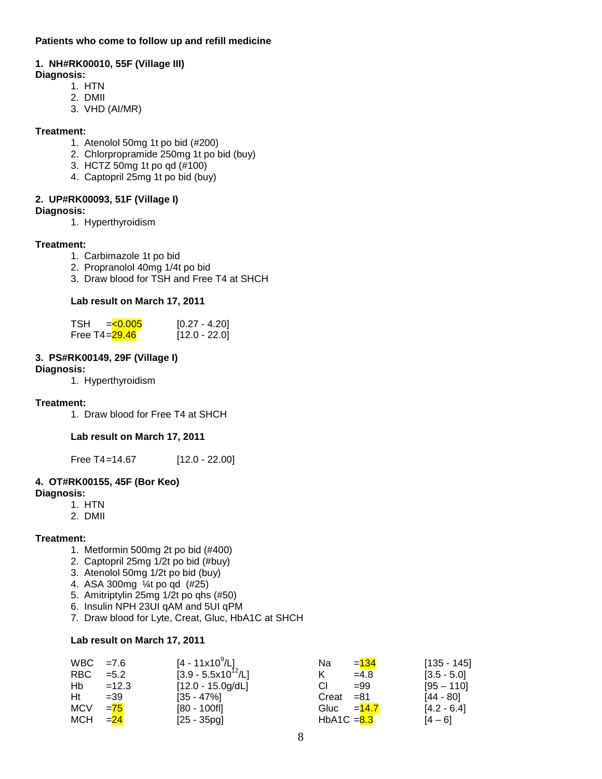#### **Patients who come to follow up and refill medicine**

#### **1. NH#RK00010, 55F (Village III)**

#### **Diagnosis:**

- 1. HTN
- 2. DMII
- 3. VHD (AI/MR)

#### **Treatment:**

- 1. Atenolol 50mg 1t po bid (#200)
- 2. Chlorpropramide 250mg 1t po bid (buy)
- 3. HCTZ 50mg 1t po qd (#100)
- 4. Captopril 25mg 1t po bid (buy)

#### **2. UP#RK00093, 51F (Village I)**

- **Diagnosis:** 
	- 1. Hyperthyroidism

#### **Treatment:**

- 1. Carbimazole 1t po bid
- 2. Propranolol 40mg 1/4t po bid
- 3. Draw blood for TSH and Free T4 at SHCH

#### **Lab result on March 17, 2011**

| <b>TSH</b>       | $= 0.005$ | $[0.27 - 4.20]$ |
|------------------|-----------|-----------------|
| Free T4= $29.46$ |           | $[12.0 - 22.0]$ |

### **3. PS#RK00149, 29F (Village I)**

#### **Diagnosis:**

1. Hyperthyroidism

#### **Treatment:**

1. Draw blood for Free T4 at SHCH

#### **Lab result on March 17, 2011**

Free T4=14.67 [12.0 - 22.00]

#### **4. OT#RK00155, 45F (Bor Keo)**

#### **Diagnosis:**

- 1. HTN
- 2. DMII

#### **Treatment:**

- 1. Metformin 500mg 2t po bid (#400)
- 2. Captopril 25mg 1/2t po bid (#buy)
- 3. Atenolol 50mg 1/2t po bid (buy)
- 4. ASA 300mg ¼t po qd (#25)
- 5. Amitriptylin 25mg 1/2t po qhs (#50)
- 6. Insulin NPH 23UI qAM and 5UI qPM
- 7. Draw blood for Lyte, Creat, Gluc, HbA1C at SHCH

#### **Lab result on March 17, 2011**

| $WBC = 7.6$ |         | [4 - 11x10 <sup>9</sup> /L]     | $= 134$<br>Na | $[135 - 145]$ |
|-------------|---------|---------------------------------|---------------|---------------|
| <b>RBC</b>  | $= 5.2$ | $[3.9 - 5.5 \times 10^{12}$ /L] | $=4.8$        | $[3.5 - 5.0]$ |
| Hb          | $=12.3$ | $[12.0 - 15.0g/dL]$             | СI<br>$= 99$  | $[95 - 110]$  |
| Ht          | $=39$   | $[35 - 47\%]$                   | $Creat = 81$  | [44 - 80]     |
| <b>MCV</b>  | $= 75$  | $[80 - 100f]$                   | Gluc $=14.7$  | $[4.2 - 6.4]$ |
| <b>MCH</b>  | $= 24$  | $[25 - 35pg]$                   | HbA1C $= 8.3$ | $[4 - 6]$     |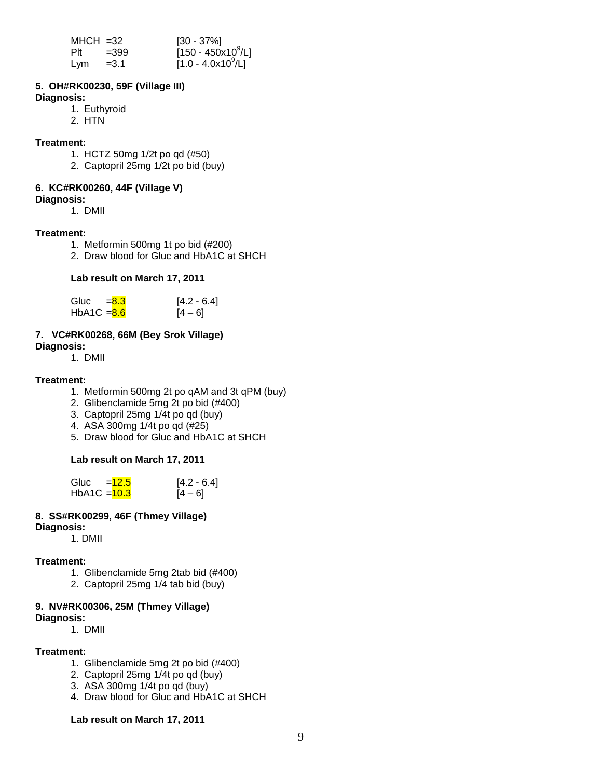| $MHCH = 32$ |        | $[30 - 37\%]$                  |
|-------------|--------|--------------------------------|
| Plt         | $=399$ | $[150 - 450 \times 10^9$ /L]   |
| Lym         | $=3.1$ | [1.0 - 4.0x10 <sup>9</sup> /L] |

#### **5. OH#RK00230, 59F (Village III)**

#### **Diagnosis:**

- 1. Euthyroid
- 2. HTN

#### **Treatment:**

- 1. HCTZ 50mg 1/2t po qd (#50)
- 2. Captopril 25mg 1/2t po bid (buy)

#### **6. KC#RK00260, 44F (Village V)**

#### **Diagnosis:**

1. DMII

#### **Treatment:**

- 1. Metformin 500mg 1t po bid (#200)
- 2. Draw blood for Gluc and HbA1C at SHCH

#### **Lab result on March 17, 2011**

| Gluc          | $= 8.3$ | $[4.2 - 6.4]$ |
|---------------|---------|---------------|
| $HbA1C = 8.6$ |         | $[4 - 6]$     |

#### **7. VC#RK00268, 66M (Bey Srok Village) Diagnosis:**

1. DMII

#### **Treatment:**

- 1. Metformin 500mg 2t po qAM and 3t qPM (buy)
- 2. Glibenclamide 5mg 2t po bid (#400)
- 3. Captopril 25mg 1/4t po qd (buy)
- 4. ASA 300mg 1/4t po qd (#25)
- 5. Draw blood for Gluc and HbA1C at SHCH

#### **Lab result on March 17, 2011**

| Gluc           | $=12.5$ | $[4.2 - 6.4]$ |
|----------------|---------|---------------|
| HbA1C $=$ 10.3 |         | $[4 - 6]$     |

# **8. SS#RK00299, 46F (Thmey Village)**

**Diagnosis:** 

1. DMII

#### **Treatment:**

- 1. Glibenclamide 5mg 2tab bid (#400)
- 2. Captopril 25mg 1/4 tab bid (buy)

#### **9. NV#RK00306, 25M (Thmey Village)**

**Diagnosis:** 

1. DMII

#### **Treatment:**

- 1. Glibenclamide 5mg 2t po bid (#400)
- 2. Captopril 25mg 1/4t po qd (buy)
- 3. ASA 300mg 1/4t po qd (buy)
- 4. Draw blood for Gluc and HbA1C at SHCH

#### **Lab result on March 17, 2011**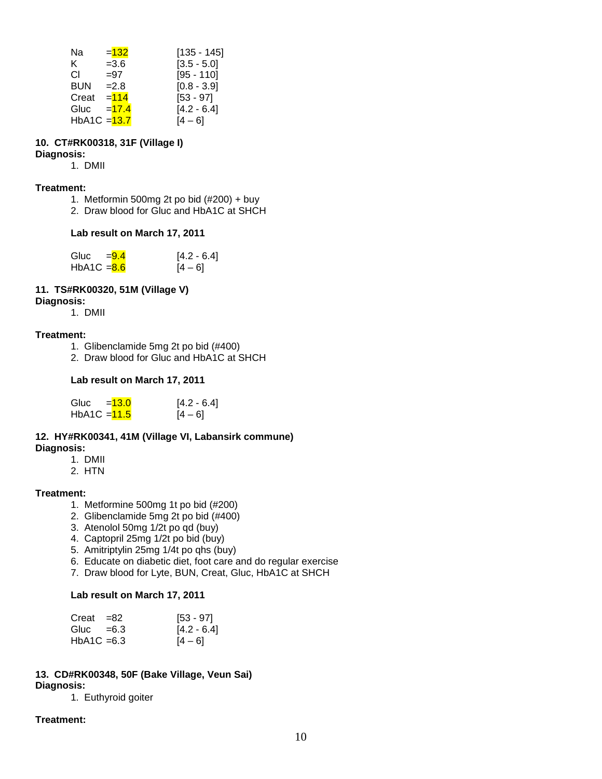| Na             | $= 132$ | [135 - 145]   |
|----------------|---------|---------------|
| K.             | $= 3.6$ | $[3.5 - 5.0]$ |
| СI             | $= 97$  | $[95 - 110]$  |
| <b>BUN</b>     | $=2.8$  | $[0.8 - 3.9]$ |
| Creat          | $= 114$ | $[53 - 97]$   |
| Gluc           | $=17.4$ | $[4.2 - 6.4]$ |
| $HbA1C = 13.7$ |         | [4 – 6]       |

# **10. CT#RK00318, 31F (Village I)**

# **Diagnosis:**

1. DMII

#### **Treatment:**

- 1. Metformin 500mg 2t po bid  $(\#200)$  + buy
- 2. Draw blood for Gluc and HbA1C at SHCH

#### **Lab result on March 17, 2011**

| Gluc          | $= 9.4$ | $[4.2 - 6.4]$ |
|---------------|---------|---------------|
| $HbA1C = 8.6$ |         | $[4 - 6]$     |

#### **11. TS#RK00320, 51M (Village V)**

#### **Diagnosis:**

1. DMII

#### **Treatment:**

- 1. Glibenclamide 5mg 2t po bid (#400)
- 2. Draw blood for Gluc and HbA1C at SHCH

#### **Lab result on March 17, 2011**

| Gluc           | $= 13.0$ | $[4.2 - 6.4]$ |
|----------------|----------|---------------|
| HbA1C $=$ 11.5 |          | $[4 - 6]$     |

#### **12. HY#RK00341, 41M (Village VI, Labansirk commune) Diagnosis:**

- 1. DMII
- 2. HTN

#### **Treatment:**

- 1. Metformine 500mg 1t po bid (#200)
- 2. Glibenclamide 5mg 2t po bid (#400)
- 3. Atenolol 50mg 1/2t po qd (buy)
- 4. Captopril 25mg 1/2t po bid (buy)
- 5. Amitriptylin 25mg 1/4t po qhs (buy)
- 6. Educate on diabetic diet, foot care and do regular exercise
- 7. Draw blood for Lyte, BUN, Creat, Gluc, HbA1C at SHCH

#### **Lab result on March 17, 2011**

| $Creat = 82$  | [53 - 97]     |
|---------------|---------------|
| Gluc $=6.3$   | $[4.2 - 6.4]$ |
| $HbA1C = 6.3$ | $[4 - 6]$     |

#### **13. CD#RK00348, 50F (Bake Village, Veun Sai) Diagnosis:**

1. Euthyroid goiter

#### **Treatment:**